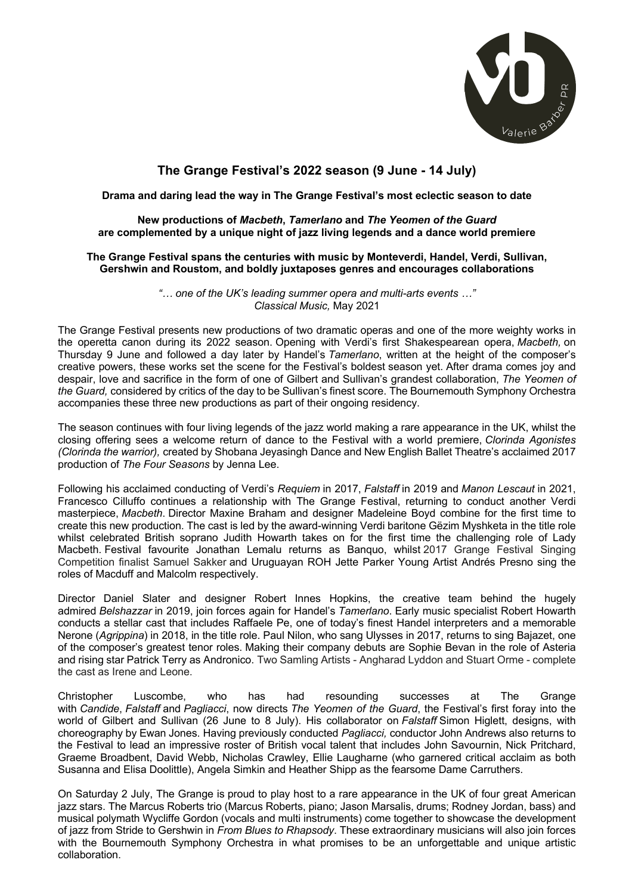

# **The Grange Festival's 2022 season (9 June - 14 July)**

## **Drama and daring lead the way in The Grange Festival's most eclectic season to date**

## **New productions of** *Macbeth***,** *Tamerlano* **and** *The Yeomen of the Guard* **are complemented by a unique night of jazz living legends and a dance world premiere**

### **The Grange Festival spans the centuries with music by Monteverdi, Handel, Verdi, Sullivan, Gershwin and Roustom, and boldly juxtaposes genres and encourages collaborations**

*"… one of the UK's leading summer opera and multi-arts events …" Classical Music,* May 2021

The Grange Festival presents new productions of two dramatic operas and one of the more weighty works in the operetta canon during its 2022 season. Opening with Verdi's first Shakespearean opera, *Macbeth,* on Thursday 9 June and followed a day later by Handel's *Tamerlano*, written at the height of the composer's creative powers, these works set the scene for the Festival's boldest season yet. After drama comes joy and despair, love and sacrifice in the form of one of Gilbert and Sullivan's grandest collaboration, *The Yeomen of the Guard,* considered by critics of the day to be Sullivan's finest score. The Bournemouth Symphony Orchestra accompanies these three new productions as part of their ongoing residency.

The season continues with four living legends of the jazz world making a rare appearance in the UK, whilst the closing offering sees a welcome return of dance to the Festival with a world premiere, *Clorinda Agonistes (Clorinda the warrior),* created by Shobana Jeyasingh Dance and New English Ballet Theatre's acclaimed 2017 production of *The Four Seasons* by Jenna Lee.

Following his acclaimed conducting of Verdi's *Requiem* in 2017, *Falstaff* in 2019 and *Manon Lescaut* in 2021, Francesco Cilluffo continues a relationship with The Grange Festival, returning to conduct another Verdi masterpiece, *Macbeth*. Director Maxine Braham and designer Madeleine Boyd combine for the first time to create this new production. The cast is led by the award-winning Verdi baritone Gëzim Myshketa in the title role whilst celebrated British soprano Judith Howarth takes on for the first time the challenging role of Lady Macbeth. Festival favourite Jonathan Lemalu returns as Banquo, whilst 2017 Grange Festival Singing Competition finalist Samuel Sakker and Uruguayan ROH Jette Parker Young Artist Andrés Presno sing the roles of Macduff and Malcolm respectively.

Director Daniel Slater and designer Robert Innes Hopkins, the creative team behind the hugely admired *Belshazzar* in 2019, join forces again for Handel's *Tamerlano*. Early music specialist Robert Howarth conducts a stellar cast that includes Raffaele Pe, one of today's finest Handel interpreters and a memorable Nerone (*Agrippina*) in 2018, in the title role. Paul Nilon, who sang Ulysses in 2017, returns to sing Bajazet, one of the composer's greatest tenor roles. Making their company debuts are Sophie Bevan in the role of Asteria and rising star Patrick Terry as Andronico. Two Samling Artists - Angharad Lyddon and Stuart Orme - complete the cast as Irene and Leone.

Christopher Luscombe, who has had resounding successes at The Grange with *Candide*, *Falstaff* and *Pagliacci*, now directs *The Yeomen of the Guard*, the Festival's first foray into the world of Gilbert and Sullivan (26 June to 8 July). His collaborator on *Falstaff* Simon Higlett, designs, with choreography by Ewan Jones. Having previously conducted *Pagliacci,* conductor John Andrews also returns to the Festival to lead an impressive roster of British vocal talent that includes John Savournin, Nick Pritchard, Graeme Broadbent, David Webb, Nicholas Crawley, Ellie Laugharne (who garnered critical acclaim as both Susanna and Elisa Doolittle), Angela Simkin and Heather Shipp as the fearsome Dame Carruthers.

On Saturday 2 July, The Grange is proud to play host to a rare appearance in the UK of four great American jazz stars. The Marcus Roberts trio (Marcus Roberts, piano; Jason Marsalis, drums; Rodney Jordan, bass) and musical polymath Wycliffe Gordon (vocals and multi instruments) come together to showcase the development of jazz from Stride to Gershwin in *From Blues to Rhapsody*. These extraordinary musicians will also join forces with the Bournemouth Symphony Orchestra in what promises to be an unforgettable and unique artistic collaboration.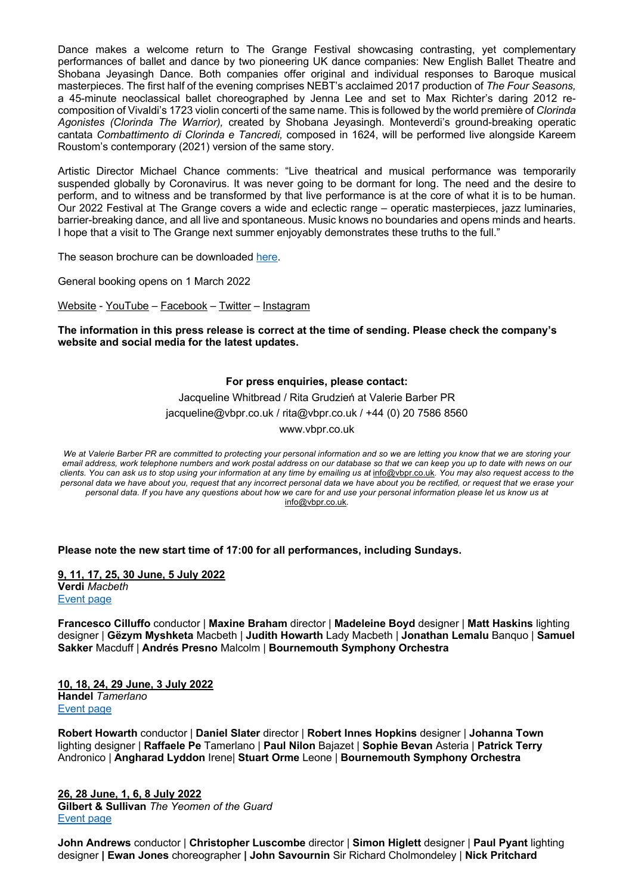Dance makes a welcome return to The Grange Festival showcasing contrasting, yet complementary performances of ballet and dance by two pioneering UK dance companies: New English Ballet Theatre and Shobana Jeyasingh Dance. Both companies offer original and individual responses to Baroque musical masterpieces. The first half of the evening comprises NEBT's acclaimed 2017 production of *The Four Seasons,*  a 45-minute neoclassical ballet choreographed by Jenna Lee and set to Max Richter's daring 2012 recomposition of Vivaldi's 1723 violin concerti of the same name. This is followed by the world première of *Clorinda Agonistes (Clorinda The Warrior),* created by Shobana Jeyasingh. Monteverdi's ground-breaking operatic cantata *Combattimento di Clorinda e Tancredi,* composed in 1624, will be performed live alongside Kareem Roustom's contemporary (2021) version of the same story.

Artistic Director Michael Chance comments: "Live theatrical and musical performance was temporarily suspended globally by Coronavirus. It was never going to be dormant for long. The need and the desire to perform, and to witness and be transformed by that live performance is at the core of what it is to be human. Our 2022 Festival at The Grange covers a wide and eclectic range – operatic masterpieces, jazz luminaries, barrier-breaking dance, and all live and spontaneous. Music knows no boundaries and opens minds and hearts. I hope that a visit to The Grange next summer enjoyably demonstrates these truths to the full."

The season brochure can be downloaded here.

General booking opens on 1 March 2022

Website - YouTube – Facebook – Twitter – Instagram

**The information in this press release is correct at the time of sending. Please check the company's website and social media for the latest updates.**

### **For press enquiries, please contact:**

Jacqueline Whitbread / Rita Grudzień at Valerie Barber PR jacqueline@vbpr.co.uk / rita@vbpr.co.uk / +44 (0) 20 7586 8560 www.vbpr.co.uk

*We at Valerie Barber PR are committed to protecting your personal information and so we are letting you know that we are storing your email address, work telephone numbers and work postal address on our database so that we can keep you up to date with news on our*  clients. You can ask us to stop using your information at any time by emailing us at info@vbpr.co.uk. You may also request access to the *personal data we have about you, request that any incorrect personal data we have about you be rectified, or request that we erase your personal data. If you have any questions about how we care for and use your personal information please let us know us at*  info@vbpr.co.uk*.*

**Please note the new start time of 17:00 for all performances, including Sundays.**

**9, 11, 17, 25, 30 June, 5 July 2022 Verdi** *Macbeth* Event page

**Francesco Cilluffo** conductor | **Maxine Braham** director | **Madeleine Boyd** designer | **Matt Haskins** lighting designer | **Gëzym Myshketa** Macbeth | **Judith Howarth** Lady Macbeth | **Jonathan Lemalu** Banquo | **Samuel Sakker** Macduff | **Andrés Presno** Malcolm | **Bournemouth Symphony Orchestra**

**10, 18, 24, 29 June, 3 July 2022 Handel** *Tamerlano* Event page

**Robert Howarth** conductor | **Daniel Slater** director | **Robert Innes Hopkins** designer | **Johanna Town** lighting designer | **Raffaele Pe** Tamerlano | **Paul Nilon** Bajazet | **Sophie Bevan** Asteria | **Patrick Terry** Andronico | **Angharad Lyddon** Irene| **Stuart Orme** Leone | **Bournemouth Symphony Orchestra**

**26, 28 June, 1, 6, 8 July 2022 Gilbert & Sullivan** *The Yeomen of the Guard* Event page

**John Andrews** conductor | **Christopher Luscombe** director | **Simon Higlett** designer | **Paul Pyant** lighting designer **| Ewan Jones** choreographer **| John Savournin** Sir Richard Cholmondeley | **Nick Pritchard**